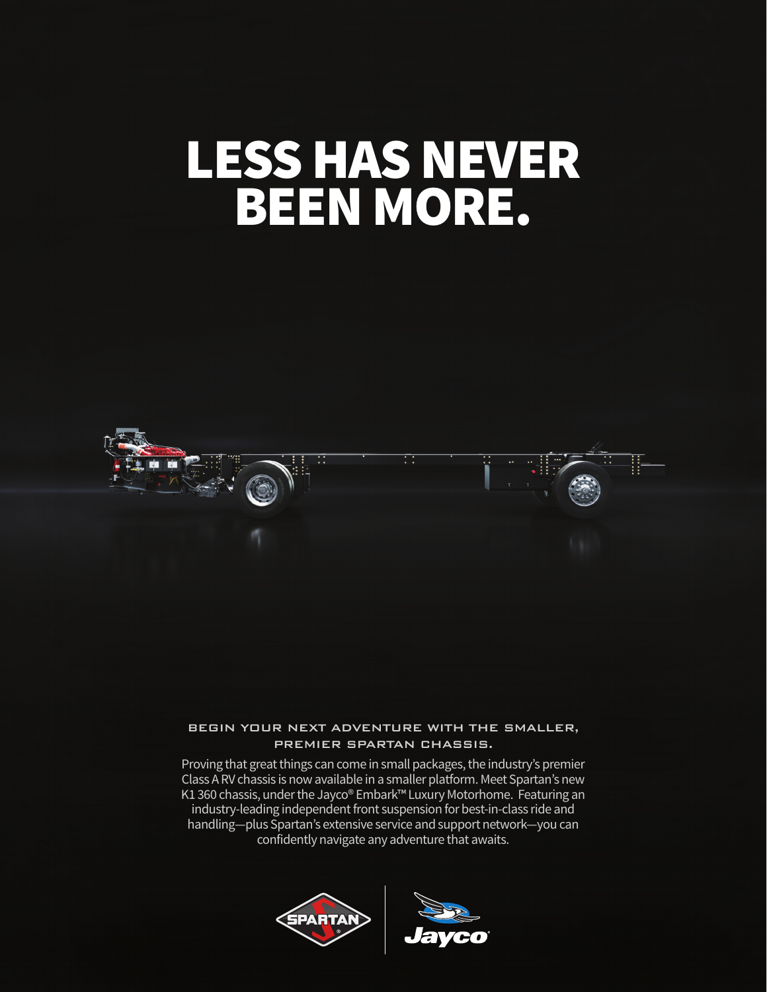# LESS HAS NEVER BEEN MORE.



### BEGIN YOUR NEXT ADVENTURE WITH THE SMALLER, PREMIER SPARTAN CHASSIS.

Proving that great things can come in small packages, the industry's premier Class A RV chassis is now available in a smaller platform. Meet Spartan's new K1 360 chassis, under the Jayco® Embark™ Luxury Motorhome. Featuring an industry-leading independent front suspension for best-in-class ride and handling—plus Spartan's extensive service and support network—you can confidently navigate any adventure that awaits.